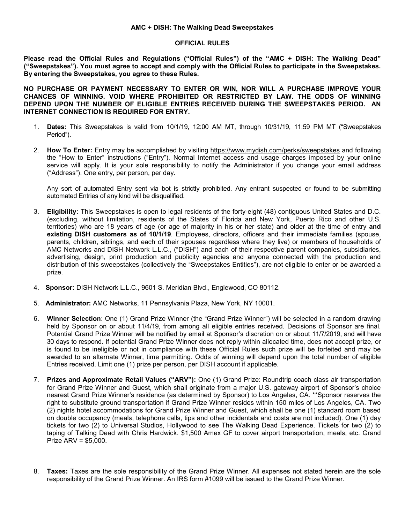## **AMC + DISH: The Walking Dead Sweepstakes**

## **OFFICIAL RULES**

**Please read the Official Rules and Regulations ("Official Rules") of the "AMC + DISH: The Walking Dead" ("Sweepstakes"). You must agree to accept and comply with the Official Rules to participate in the Sweepstakes. By entering the Sweepstakes, you agree to these Rules.**

**NO PURCHASE OR PAYMENT NECESSARY TO ENTER OR WIN, NOR WILL A PURCHASE IMPROVE YOUR CHANCES OF WINNING. VOID WHERE PROHIBITED OR RESTRICTED BY LAW. THE ODDS OF WINNING DEPEND UPON THE NUMBER OF ELIGIBLE ENTRIES RECEIVED DURING THE SWEEPSTAKES PERIOD. AN INTERNET CONNECTION IS REQUIRED FOR ENTRY.**

- 1. **Dates:** This Sweepstakes is valid from 10/1/19, 12:00 AM MT, through 10/31/19, 11:59 PM MT ("Sweepstakes Period").
- 2. **How To Enter:** Entry may be accomplished by visiting<https://www.mydish.com/perks/sweepstakes> and following the "How to Enter" instructions ("Entry"). Normal Internet access and usage charges imposed by your online service will apply. It is your sole responsibility to notify the Administrator if you change your email address ("Address"). One entry, per person, per day.

Any sort of automated Entry sent via bot is strictly prohibited. Any entrant suspected or found to be submitting automated Entries of any kind will be disqualified.

- 3. **Eligibility:** This Sweepstakes is open to legal residents of the forty-eight (48) contiguous United States and D.C. (excluding, without limitation, residents of the States of Florida and New York, Puerto Rico and other U.S. territories) who are 18 years of age (or age of majority in his or her state) and older at the time of entry **and existing DISH customers as of 10/1/19**. Employees, directors, officers and their immediate families (spouse, parents, children, siblings, and each of their spouses regardless where they live) or members of households of AMC Networks and DISH Network L.L.C., ("DISH") and each of their respective parent companies, subsidiaries, advertising, design, print production and publicity agencies and anyone connected with the production and distribution of this sweepstakes (collectively the "Sweepstakes Entities"), are not eligible to enter or be awarded a prize.
- 4. **Sponsor:** DISH Network L.L.C., 9601 S. Meridian Blvd., Englewood, CO 80112.
- 5. **Administrator:** AMC Networks, 11 Pennsylvania Plaza, New York, NY 10001.
- 6. **Winner Selection**: One (1) Grand Prize Winner (the "Grand Prize Winner") will be selected in a random drawing held by Sponsor on or about 11/4/19, from among all eligible entries received. Decisions of Sponsor are final. Potential Grand Prize Winner will be notified by email at Sponsor's discretion on or about 11/7/2019, and will have 30 days to respond. If potential Grand Prize Winner does not reply within allocated time, does not accept prize, or is found to be ineligible or not in compliance with these Official Rules such prize will be forfeited and may be awarded to an alternate Winner, time permitting. Odds of winning will depend upon the total number of eligible Entries received. Limit one (1) prize per person, per DISH account if applicable.
- 7. **Prizes and Approximate Retail Values ("ARV"):** One (1) Grand Prize: Roundtrip coach class air transportation for Grand Prize Winner and Guest, which shall originate from a major U.S. gateway airport of Sponsor's choice nearest Grand Prize Winner's residence (as determined by Sponsor) to Los Angeles, CA. \*\*Sponsor reserves the right to substitute ground transportation if Grand Prize Winner resides within 150 miles of Los Angeles, CA. Two (2) nights hotel accommodations for Grand Prize Winner and Guest, which shall be one (1) standard room based on double occupancy (meals, telephone calls, tips and other incidentals and costs are not included). One (1) day tickets for two (2) to Universal Studios, Hollywood to see The Walking Dead Experience. Tickets for two (2) to taping of Talking Dead with Chris Hardwick. \$1,500 Amex GF to cover airport transportation, meals, etc. Grand Prize ARV = \$5,000.
- 8. **Taxes:** Taxes are the sole responsibility of the Grand Prize Winner. All expenses not stated herein are the sole responsibility of the Grand Prize Winner. An IRS form #1099 will be issued to the Grand Prize Winner.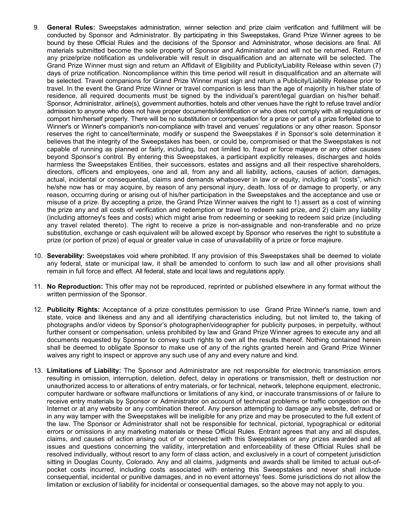- 9. **General Rules:** Sweepstakes administration, winner selection and prize claim verification and fulfillment will be conducted by Sponsor and Administrator. By participating in this Sweepstakes, Grand Prize Winner agrees to be bound by these Official Rules and the decisions of the Sponsor and Administrator, whose decisions are final. All materials submitted become the sole property of Sponsor and Administrator and will not be returned. Return of any prize/prize notification as undeliverable will result in disqualification and an alternate will be selected. The Grand Prize Winner must sign and return an Affidavit of Eligibility and Publicity/Liability Release within seven (7) days of prize notification. Noncompliance within this time period will result in disqualification and an alternate will be selected. Travel companions for Grand Prize Winner must sign and return a Publicity/Liability Release prior to travel. In the event the Grand Prize Winner or travel companion is less than the age of majority in his/her state of residence, all required documents must be signed by the individual's parent/legal guardian on his/her behalf. Sponsor, Administrator, airline(s), government authorities, hotels and other venues have the right to refuse travel and/or admission to anyone who does not have proper documents/identification or who does not comply with all regulations or comport him/herself properly. There will be no substitution or compensation for a prize or part of a prize forfeited due to Winner's or Winner's companion's non-compliance with travel and venues' regulations or any other reason. Sponsor reserves the right to cancel/terminate, modify or suspend the Sweepstakes if in Sponsor's sole determination it believes that the integrity of the Sweepstakes has been, or could be, compromised or that the Sweepstakes is not capable of running as planned or fairly, including, but not limited to, fraud or force majeure or any other causes beyond Sponsor's control. By entering this Sweepstakes, a participant explicitly releases, discharges and holds harmless the Sweepstakes Entities, their successors, estates and assigns and all their respective shareholders, directors, officers and employees, one and all, from any and all liability, actions, causes of action, damages, actual, incidental or consequential, claims and demands whatsoever in law or equity, including all "costs", which he/she now has or may acquire, by reason of any personal injury, death, loss of or damage to property, or any reason, occurring during or arising out of his/her participation in the Sweepstakes and the acceptance and use or misuse of a prize. By accepting a prize, the Grand Prize Winner waives the right to 1) assert as a cost of winning the prize any and all costs of verification and redemption or travel to redeem said prize, and 2) claim any liability (including attorney's fees and costs) which might arise from redeeming or seeking to redeem said prize (including any travel related thereto). The right to receive a prize is non-assignable and non-transferable and no prize substitution, exchange or cash equivalent will be allowed except by Sponsor who reserves the right to substitute a prize (or portion of prize) of equal or greater value in case of unavailability of a prize or force majeure.
- 10. **Severability:** Sweepstakes void where prohibited. If any provision of this Sweepstakes shall be deemed to violate any federal, state or municipal law, it shall be amended to conform to such law and all other provisions shall remain in full force and effect. All federal, state and local laws and regulations apply.
- 11. **No Reproduction:** This offer may not be reproduced, reprinted or published elsewhere in any format without the written permission of the Sponsor.
- 12. **Publicity Rights:** Acceptance of a prize constitutes permission to use Grand Prize Winner's name, town and state, voice and likeness and any and all identifying characteristics including, but not limited to, the taking of photographs and/or videos by Sponsor's photographer/videographer for publicity purposes, in perpetuity, without further consent or compensation, unless prohibited by law and Grand Prize Winner agrees to execute any and all documents requested by Sponsor to convey such rights to own all the results thereof. Nothing contained herein shall be deemed to obligate Sponsor to make use of any of the rights granted herein and Grand Prize Winner waives any right to inspect or approve any such use of any and every nature and kind.
- 13. **Limitations of Liability:** The Sponsor and Administrator are not responsible for electronic transmission errors resulting in omission, interruption, deletion, defect, delay in operations or transmission, theft or destruction nor unauthorized access to or alterations of entry materials, or for technical, network, telephone equipment, electronic, computer hardware or software malfunctions or limitations of any kind, or inaccurate transmissions of or failure to receive entry materials by Sponsor or Administrator on account of technical problems or traffic congestion on the Internet or at any website or any combination thereof. Any person attempting to damage any website, defraud or in any way tamper with the Sweepstakes will be ineligible for any prize and may be prosecuted to the full extent of the law. The Sponsor or Administrator shall not be responsible for technical, pictorial, typographical or editorial errors or omissions in any marketing materials or these Official Rules. Entrant agrees that any and all disputes, claims, and causes of action arising out of or connected with this Sweepstakes or any prizes awarded and all issues and questions concerning the validity, interpretation and enforceability of these Official Rules shall be resolved individually, without resort to any form of class action, and exclusively in a court of competent jurisdiction sitting in Douglas County, Colorado. Any and all claims, judgments and awards shall be limited to actual out-ofpocket costs incurred, including costs associated with entering this Sweepstakes and never shall include consequential, incidental or punitive damages, and in no event attorneys' fees. Some jurisdictions do not allow the limitation or exclusion of liability for incidental or consequential damages, so the above may not apply to you.